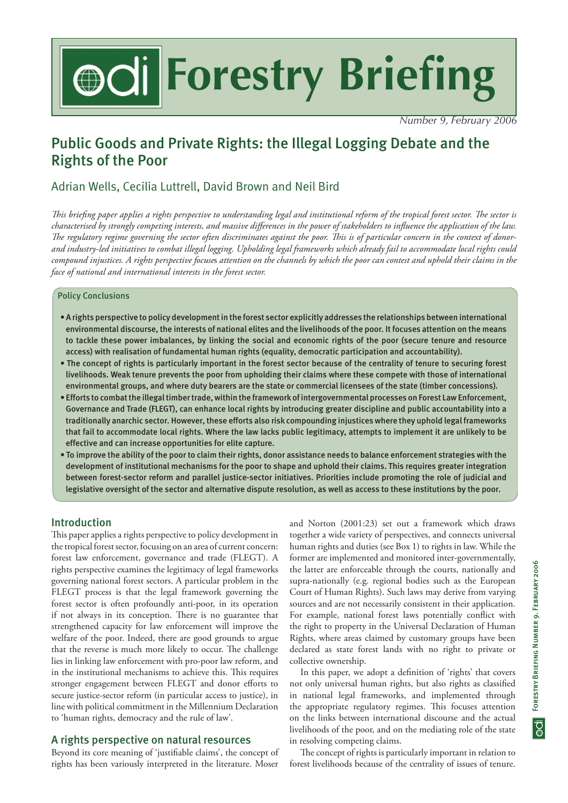# **Forestry Briefing Forestry Briefing**

*Number 9, February 2006*

# Public Goods and Private Rights: the Illegal Logging Debate and the Rights of the Poor

# Adrian Wells, Cecilia Luttrell, David Brown and Neil Bird

*This briefing paper applies a rights perspective to understanding legal and institutional reform of the tropical forest sector. The sector is characterised by strongly competing interests, and massive differences in the power of stakeholders to influence the application of the law. The regulatory regime governing the sector often discriminates against the poor. This is of particular concern in the context of donorand industry-led initiatives to combat illegal logging. Upholding legal frameworks which already fail to accommodate local rights could compound injustices. A rights perspective focuse*s *attention on the channels by which the poor can contest and uphold their claims in the face of national and international interests in the forest sector.*

### Policy Conclusions

- A rights perspective to policy development in the forest sector explicitly addresses the relationships between international environmental discourse, the interests of national elites and the livelihoods of the poor. It focuses attention on the means to tackle these power imbalances, by linking the social and economic rights of the poor (secure tenure and resource access) with realisation of fundamental human rights (equality, democratic participation and accountability).
- The concept of rights is particularly important in the forest sector because of the centrality of tenure to securing forest livelihoods. Weak tenure prevents the poor from upholding their claims where these compete with those of international environmental groups, and where duty bearers are the state or commercial licensees of the state (timber concessions).
- Efforts to combat the illegal timber trade, within the framework of intergovernmental processes on Forest Law Enforcement, Governance and Trade (FLEGT), can enhance local rights by introducing greater discipline and public accountability into a traditionally anarchic sector. However, these efforts also risk compounding injustices where they uphold legal frameworks that fail to accommodate local rights. Where the law lacks public legitimacy, attempts to implement it are unlikely to be effective and can increase opportunities for elite capture.
- To improve the ability of the poor to claim their rights, donor assistance needs to balance enforcement strategies with the development of institutional mechanisms for the poor to shape and uphold their claims. This requires greater integration between forest-sector reform and parallel justice-sector initiatives. Priorities include promoting the role of judicial and legislative oversight of the sector and alternative dispute resolution, as well as access to these institutions by the poor.

# Introduction

This paper applies a rights perspective to policy development in the tropical forest sector, focusing on an area of current concern: forest law enforcement, governance and trade (FLEGT). A rights perspective examines the legitimacy of legal frameworks governing national forest sectors. A particular problem in the FLEGT process is that the legal framework governing the forest sector is often profoundly anti-poor, in its operation if not always in its conception. There is no guarantee that strengthened capacity for law enforcement will improve the welfare of the poor. Indeed, there are good grounds to argue that the reverse is much more likely to occur. The challenge lies in linking law enforcement with pro-poor law reform, and in the institutional mechanisms to achieve this. This requires stronger engagement between FLEGT and donor efforts to secure justice-sector reform (in particular access to justice), in line with political commitment in the Millennium Declaration to 'human rights, democracy and the rule of law'.

## A rights perspective on natural resources

Beyond its core meaning of 'justifiable claims', the concept of rights has been variously interpreted in the literature. Moser

and Norton (2001:23) set out a framework which draws together a wide variety of perspectives, and connects universal human rights and duties (see Box 1) to rights in law. While the former are implemented and monitored inter-governmentally, the latter are enforceable through the courts, nationally and supra-nationally (e.g. regional bodies such as the European Court of Human Rights). Such laws may derive from varying sources and are not necessarily consistent in their application. For example, national forest laws potentially conflict with the right to property in the Universal Declaration of Human Rights, where areas claimed by customary groups have been declared as state forest lands with no right to private or collective ownership.

In this paper, we adopt a definition of 'rights' that covers not only universal human rights, but also rights as classified in national legal frameworks, and implemented through the appropriate regulatory regimes. This focuses attention on the links between international discourse and the actual livelihoods of the poor, and on the mediating role of the state in resolving competing claims.

The concept of rights is particularly important in relation to forest livelihoods because of the centrality of issues of tenure.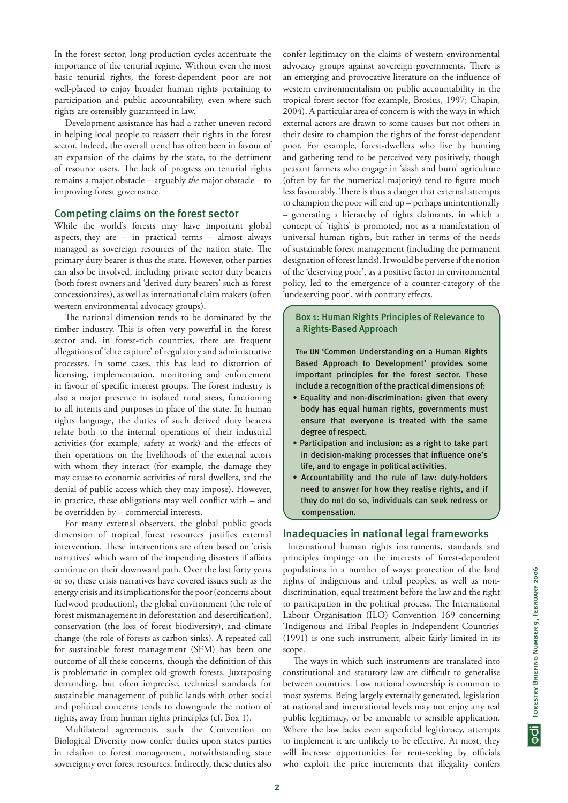In the forest sector, long production cycles accentuate the importance of the tenurial regime. Without even the most basic tenurial rights, the forest-dependent poor are not well-placed to enjoy broader human rights pertaining to participation and public accountability, even where such rights are ostensibly guaranteed in law.

Development assistance has had a rather uneven record in helping local people to reassert their rights in the forest sector. Indeed, the overall trend has often been in favour of an expansion of the claims by the state, to the detriment of resource users. The lack of progress on tenurial rights remains a major obstacle – arguably *the* major obstacle – to improving forest governance.

### Competing claims on the forest sector

While the world's forests may have important global aspects, they are  $-$  in practical terms  $-$  almost always managed as sovereign resources of the nation state. The primary duty bearer is thus the state. However, other parties can also be involved, including private sector duty bearers (both forest owners and 'derived duty bearers' such as forest concessionaires), as well as international claim makers (often western environmental advocacy groups).

The national dimension tends to be dominated by the timber industry. This is often very powerful in the forest sector and, in forest-rich countries, there are frequent allegations of 'elite capture' of regulatory and administrative processes. In some cases, this has lead to distortion of licensing, implementation, monitoring and enforcement in favour of specific interest groups. The forest industry is also a major presence in isolated rural areas, functioning to all intents and purposes in place of the state. In human rights language, the duties of such derived duty bearers relate both to the internal operations of their industrial activities (for example, safety at work) and the effects of their operations on the livelihoods of the external actors with whom they interact (for example, the damage they may cause to economic activities of rural dwellers, and the denial of public access which they may impose). However, in practice, these obligations may well conflict with – and be overridden by – commercial interests.

For many external observers, the global public goods dimension of tropical forest resources justifies external intervention. These interventions are often based on 'crisis narratives' which warn of the impending disasters if affairs continue on their downward path. Over the last forty years or so, these crisis narratives have covered issues such as the energy crisis and its implications for the poor (concerns about fuelwood production), the global environment (the role of forest mismanagement in deforestation and desertification), conservation (the loss of forest biodiversity), and climate change (the role of forests as carbon sinks). A repeated call for sustainable forest management (SFM) has been one outcome of all these concerns, though the definition of this is problematic in complex old-growth forests. Juxtaposing demanding, but often imprecise, technical standards for sustainable management of public lands with other social and political concerns tends to downgrade the notion of rights, away from human rights principles (cf. Box 1).

Multilateral agreements, such the Convention on Biological Diversity now confer duties upon states parties in relation to forest management, notwithstanding state sovereignty over forest resources. Indirectly, these duties also confer legitimacy on the claims of western environmental advocacy groups against sovereign governments. There is an emerging and provocative literature on the influence of western environmentalism on public accountability in the tropical forest sector (for example, Brosius, 1997; Chapin, 2004). A particular area of concern is with the ways in which external actors are drawn to some causes but not others in their desire to champion the rights of the forest-dependent poor. For example, forest-dwellers who live by hunting and gathering tend to be perceived very positively, though peasant farmers who engage in 'slash and burn' agriculture (often by far the numerical majority) tend to figure much less favourably. There is thus a danger that external attempts to champion the poor will end up – perhaps unintentionally – generating a hierarchy of rights claimants, in which a concept of 'rights' is promoted, not as a manifestation of universal human rights, but rather in terms of the needs of sustainable forest management (including the permanent designation of forest lands). It would be perverse if the notion of the 'deserving poor', as a positive factor in environmental policy, led to the emergence of a counter-category of the 'undeserving poor', with contrary effects.

### Box 1: Human Rights Principles of Relevance to a Rights-Based Approach

The UN 'Common Understanding on a Human Rights Based Approach to Development' provides some important principles for the forest sector. These include a recognition of the practical dimensions of:

- Equality and non-discrimination: given that every body has equal human rights, governments must ensure that everyone is treated with the same degree of respect.
- Participation and inclusion: as a right to take part in decision-making processes that influence one's life, and to engage in political activities.
- Accountability and the rule of law: duty-holders need to answer for how they realise rights, and if they do not do so, individuals can seek redress or compensation.

### Inadequacies in national legal frameworks

 International human rights instruments, standards and principles impinge on the interests of forest-dependent populations in a number of ways: protection of the land rights of indigenous and tribal peoples, as well as nondiscrimination, equal treatment before the law and the right to participation in the political process. The International Labour Organisation (ILO) Convention 169 concerning 'Indigenous and Tribal Peoples in Independent Countries' (1991) is one such instrument, albeit fairly limited in its scope.

The ways in which such instruments are translated into constitutional and statutory law are difficult to generalise between countries. Low national ownership is common to most systems. Being largely externally generated, legislation at national and international levels may not enjoy any real public legitimacy, or be amenable to sensible application. Where the law lacks even superficial legitimacy, attempts to implement it are unlikely to be effective. At most, they will increase opportunities for rent-seeking by officials who exploit the price increments that illegality confers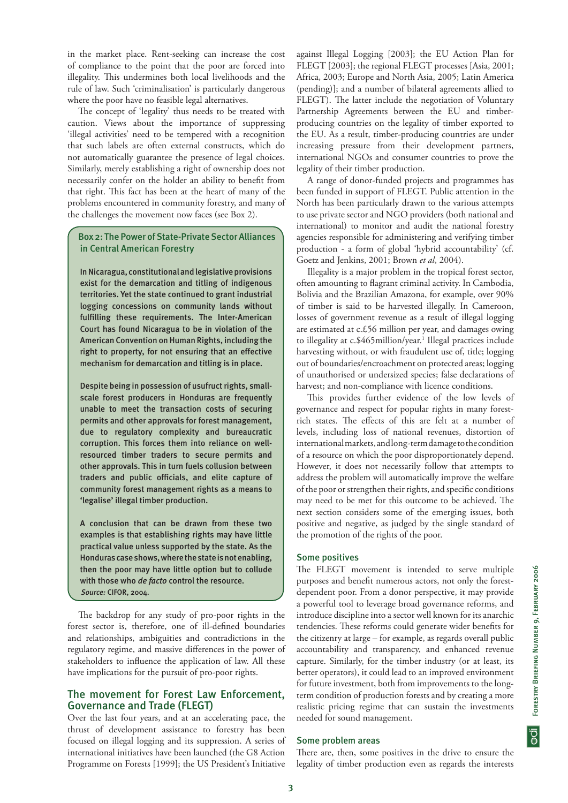in the market place. Rent-seeking can increase the cost of compliance to the point that the poor are forced into illegality. This undermines both local livelihoods and the rule of law. Such 'criminalisation' is particularly dangerous where the poor have no feasible legal alternatives.

The concept of 'legality' thus needs to be treated with caution. Views about the importance of suppressing 'illegal activities' need to be tempered with a recognition that such labels are often external constructs, which do not automatically guarantee the presence of legal choices. Similarly, merely establishing a right of ownership does not necessarily confer on the holder an ability to benefit from that right. This fact has been at the heart of many of the problems encountered in community forestry, and many of the challenges the movement now faces (see Box 2).

### Box 2: The Power of State-Private Sector Alliances in Central American Forestry

In Nicaragua, constitutional and legislative provisions exist for the demarcation and titling of indigenous territories. Yet the state continued to grant industrial logging concessions on community lands without fulfilling these requirements. The Inter-American Court has found Nicaragua to be in violation of the American Convention on Human Rights, including the right to property, for not ensuring that an effective mechanism for demarcation and titling is in place.

Despite being in possession of usufruct rights, smallscale forest producers in Honduras are frequently unable to meet the transaction costs of securing permits and other approvals for forest management, due to regulatory complexity and bureaucratic corruption. This forces them into reliance on wellresourced timber traders to secure permits and other approvals. This in turn fuels collusion between traders and public officials, and elite capture of community forest management rights as a means to 'legalise' illegal timber production.

A conclusion that can be drawn from these two examples is that establishing rights may have little practical value unless supported by the state. As the Honduras case shows, where the state is not enabling, then the poor may have little option but to collude with those who *de facto* control the resource. *Source:* CIFOR, 2004.

The backdrop for any study of pro-poor rights in the forest sector is, therefore, one of ill-defined boundaries and relationships, ambiguities and contradictions in the regulatory regime, and massive differences in the power of stakeholders to influence the application of law. All these have implications for the pursuit of pro-poor rights.

### The movement for Forest Law Enforcement, Governance and Trade (FLEGT)

Over the last four years, and at an accelerating pace, the thrust of development assistance to forestry has been focused on illegal logging and its suppression. A series of international initiatives have been launched (the G8 Action Programme on Forests [1999]; the US President's Initiative against Illegal Logging [2003]; the EU Action Plan for FLEGT [2003]; the regional FLEGT processes [Asia, 2001; Africa, 2003; Europe and North Asia, 2005; Latin America (pending)]; and a number of bilateral agreements allied to FLEGT). The latter include the negotiation of Voluntary Partnership Agreements between the EU and timberproducing countries on the legality of timber exported to the EU. As a result, timber-producing countries are under increasing pressure from their development partners, international NGOs and consumer countries to prove the legality of their timber production.

A range of donor-funded projects and programmes has been funded in support of FLEGT. Public attention in the North has been particularly drawn to the various attempts to use private sector and NGO providers (both national and international) to monitor and audit the national forestry agencies responsible for administering and verifying timber production - a form of global 'hybrid accountability' (cf. Goetz and Jenkins, 2001; Brown *et al*, 2004).

Illegality is a major problem in the tropical forest sector, often amounting to flagrant criminal activity. In Cambodia, Bolivia and the Brazilian Amazona, for example, over 90% of timber is said to be harvested illegally. In Cameroon, losses of government revenue as a result of illegal logging are estimated at c.£56 million per year, and damages owing to illegality at c.\$465million/year.<sup>1</sup> Illegal practices include harvesting without, or with fraudulent use of, title; logging out of boundaries/encroachment on protected areas; logging of unauthorised or undersized species; false declarations of harvest; and non-compliance with licence conditions.

This provides further evidence of the low levels of governance and respect for popular rights in many forestrich states. The effects of this are felt at a number of levels, including loss of national revenues, distortion of international markets, and long-term damage to the condition of a resource on which the poor disproportionately depend. However, it does not necessarily follow that attempts to address the problem will automatically improve the welfare of the poor or strengthen their rights, and specific conditions may need to be met for this outcome to be achieved. The next section considers some of the emerging issues, both positive and negative, as judged by the single standard of the promotion of the rights of the poor.

### Some positives

The FLEGT movement is intended to serve multiple purposes and benefit numerous actors, not only the forestdependent poor. From a donor perspective, it may provide a powerful tool to leverage broad governance reforms, and introduce discipline into a sector well known for its anarchic tendencies. These reforms could generate wider benefits for the citizenry at large – for example, as regards overall public accountability and transparency, and enhanced revenue capture. Similarly, for the timber industry (or at least, its better operators), it could lead to an improved environment for future investment, both from improvements to the longterm condition of production forests and by creating a more realistic pricing regime that can sustain the investments needed for sound management.

### Some problem areas

There are, then, some positives in the drive to ensure the legality of timber production even as regards the interests  $\overline{\vec{Q}}$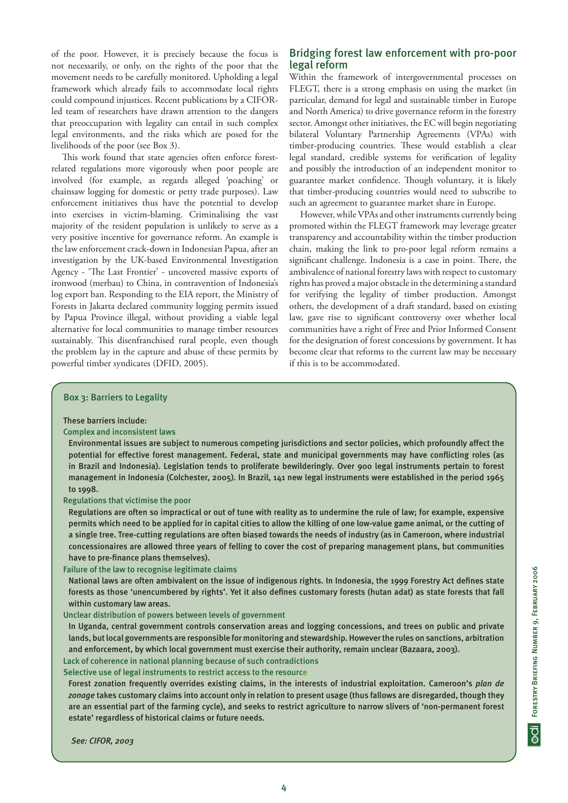of the poor. However, it is precisely because the focus is not necessarily, or only, on the rights of the poor that the movement needs to be carefully monitored. Upholding a legal framework which already fails to accommodate local rights could compound injustices. Recent publications by a CIFORled team of researchers have drawn attention to the dangers that preoccupation with legality can entail in such complex legal environments, and the risks which are posed for the livelihoods of the poor (see Box 3).

This work found that state agencies often enforce forestrelated regulations more vigorously when poor people are involved (for example, as regards alleged 'poaching' or chainsaw logging for domestic or petty trade purposes). Law enforcement initiatives thus have the potential to develop into exercises in victim-blaming. Criminalising the vast majority of the resident population is unlikely to serve as a very positive incentive for governance reform. An example is the law enforcement crack-down in Indonesian Papua, after an investigation by the UK-based Environmental Investigation Agency - 'The Last Frontier' - uncovered massive exports of ironwood (merbau) to China, in contravention of Indonesia's log export ban. Responding to the EIA report, the Ministry of Forests in Jakarta declared community logging permits issued by Papua Province illegal, without providing a viable legal alternative for local communities to manage timber resources sustainably. This disenfranchised rural people, even though the problem lay in the capture and abuse of these permits by powerful timber syndicates (DFID, 2005).

### Bridging forest law enforcement with pro-poor legal reform

Within the framework of intergovernmental processes on FLEGT, there is a strong emphasis on using the market (in particular, demand for legal and sustainable timber in Europe and North America) to drive governance reform in the forestry sector. Amongst other initiatives, the EC will begin negotiating bilateral Voluntary Partnership Agreements (VPAs) with timber-producing countries. These would establish a clear legal standard, credible systems for verification of legality and possibly the introduction of an independent monitor to guarantee market confidence. Though voluntary, it is likely that timber-producing countries would need to subscribe to such an agreement to guarantee market share in Europe.

However, while VPAs and other instruments currently being promoted within the FLEGT framework may leverage greater transparency and accountability within the timber production chain, making the link to pro-poor legal reform remains a significant challenge. Indonesia is a case in point. There, the ambivalence of national forestry laws with respect to customary rights has proved a major obstacle in the determining a standard for verifying the legality of timber production. Amongst others, the development of a draft standard, based on existing law, gave rise to significant controversy over whether local communities have a right of Free and Prior Informed Consent for the designation of forest concessions by government. It has become clear that reforms to the current law may be necessary if this is to be accommodated.

### Box 3: Barriers to Legality

### These barriers include:

### Complex and inconsistent laws

Environmental issues are subject to numerous competing jurisdictions and sector policies, which profoundly affect the potential for effective forest management. Federal, state and municipal governments may have conflicting roles (as in Brazil and Indonesia). Legislation tends to proliferate bewilderingly. Over 900 legal instruments pertain to forest management in Indonesia (Colchester, 2005). In Brazil, 141 new legal instruments were established in the period 1965 to 1998.

Regulations that victimise the poor

Regulations are often so impractical or out of tune with reality as to undermine the rule of law; for example, expensive permits which need to be applied for in capital cities to allow the killing of one low-value game animal, or the cutting of a single tree. Tree-cutting regulations are often biased towards the needs of industry (as in Cameroon, where industrial concessionaires are allowed three years of felling to cover the cost of preparing management plans, but communities have to pre-finance plans themselves).

Failure of the law to recognise legitimate claims

National laws are often ambivalent on the issue of indigenous rights. In Indonesia, the 1999 Forestry Act defines state forests as those 'unencumbered by rights'. Yet it also defines customary forests (hutan adat) as state forests that fall within customary law areas.

### Unclear distribution of powers between levels of government

In Uganda, central government controls conservation areas and logging concessions, and trees on public and private lands, but local governments are responsible for monitoring and stewardship. However the rules on sanctions, arbitration and enforcement, by which local government must exercise their authority, remain unclear (Bazaara, 2003).

# Lack of coherence in national planning because of such contradictions

Selective use of legal instruments to restrict access to the resource

Forest zonation frequently overrides existing claims, in the interests of industrial exploitation. Cameroon's *plan de zonage* takes customary claims into account only in relation to present usage (thus fallows are disregarded, though they are an essential part of the farming cycle), and seeks to restrict agriculture to narrow slivers of 'non-permanent forest estate' regardless of historical claims or future needs.

*See: CIFOR, 2003*